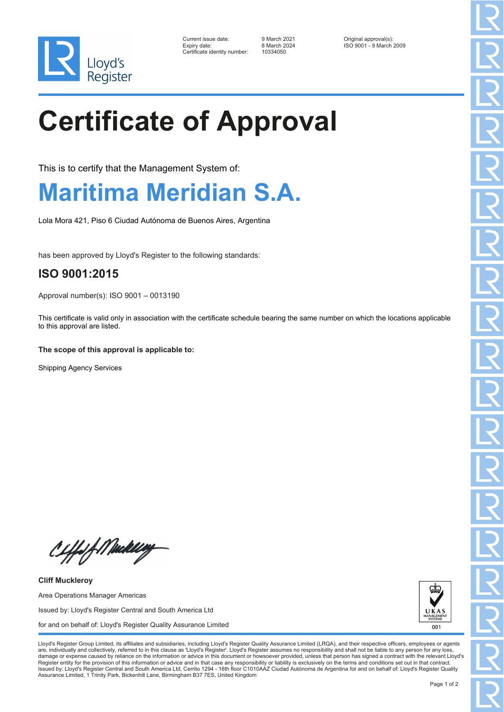

| Current issue date:          | 9 March 2021 | Original approval(s):   |
|------------------------------|--------------|-------------------------|
| Expiry date:                 | 8 March 2024 | ISO 9001 - 9 March 2009 |
| Certificate identity number: | 10334050     |                         |

# **Certificate of Approval**

This is to certify that the Management System of:

### **Maritima Meridian S.A.**

Lola Mora 421, Piso 6 Ciudad Autónoma de Buenos Aires, Argentina

has been approved by Lloyd's Register to the following standards:

### **ISO 9001:2015**

Approval number(s): ISO 9001 – 0013190

This certificate is valid only in association with the certificate schedule bearing the same number on which the locations applicable to this approval are listed.

#### **The scope of this approval is applicable to:**

Shipping Agency Services

Ciffof Mukling

**Cliff Muckleroy** Area Operations Manager Americas Issued by: Lloyd's Register Central and South America Ltd for and on behalf of: Lloyd's Register Quality Assurance Limited



Lloyd's Register Group Limited, its affiliates and subsidiaries, including Lloyd's Register Quality Assurance Limited (LRQA), and their respective officers, employees or agents are, individually and collectively, referred to in this clause as 'Lloyd's Register'. Lloyd's Register assumes no responsibility and shall not be liable to any person for any los damage or expense caused by reliance on the information or advice in this document or howsoever provided, unless that person has signed a contract with the relevant Lloyd's<br>Register entity for the provision of this informa Issued by: Lloyd's Register Central and South America Ltd, Cerrito 1294 - 16th floor C1010AAZ Ciudad Autónoma de Argentina for and on behalf of: Lloyd's Register Quality Assurance Limited, 1 Trinity Park, Bickenhill Lane, Birmingham B37 7ES, United Kingdom